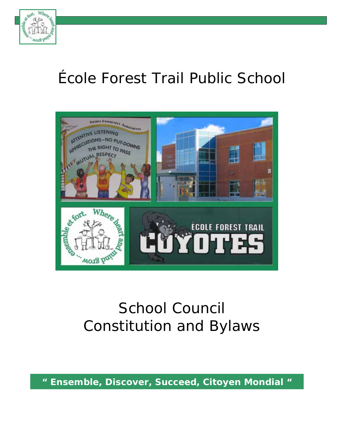

# École Forest Trail Public School



# School Council Constitution and Bylaws

*" Ensemble, Discover, Succeed, Citoyen Mondial "*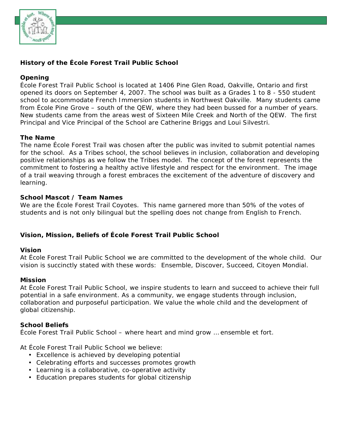

## **History of the École Forest Trail Public School**

#### **Opening**

École Forest Trail Public School is located at 1406 Pine Glen Road, Oakville, Ontario and first opened its doors on September 4, 2007. The school was built as a Grades 1 to 8 - 550 student school to accommodate French Immersion students in Northwest Oakville. Many students came from École Pine Grove – south of the QEW, where they had been bussed for a number of years. New students came from the areas west of Sixteen Mile Creek and North of the QEW. The first Principal and Vice Principal of the School are Catherine Briggs and Loui Silvestri.

#### **The Name**

The name École Forest Trail was chosen after the public was invited to submit potential names for the school. As a Tribes school, the school believes in inclusion, collaboration and developing positive relationships as we follow the Tribes model. The concept of the forest represents the commitment to fostering a healthy active lifestyle and respect for the environment. The image of a trail weaving through a forest embraces the excitement of the adventure of discovery and learning.

#### **School Mascot / Team Names**

We are the École Forest Trail Coyotes. This name garnered more than 50% of the votes of students and is not only bilingual but the spelling does not change from English to French.

#### **Vision, Mission, Beliefs of École Forest Trail Public School**

#### **Vision**

At École Forest Trail Public School we are committed to the development of the whole child. Our vision is succinctly stated with these words: Ensemble, Discover, Succeed, Citoyen Mondial.

#### **Mission**

At École Forest Trail Public School, we inspire students to learn and succeed to achieve their full potential in a safe environment. As a community, we engage students through inclusion, collaboration and purposeful participation. We value the whole child and the development of global citizenship.

#### **School Beliefs**

École Forest Trail Public School – where heart and mind grow … ensemble et fort.

At École Forest Trail Public School we believe:

- Excellence is achieved by developing potential
- Celebrating efforts and successes promotes growth
- Learning is a collaborative, co-operative activity
- Education prepares students for global citizenship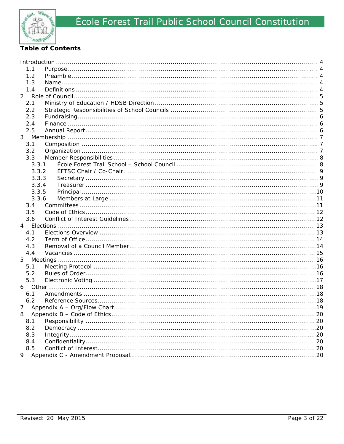

# **Table of Contents**

| 1.1      |  |     |  |  |
|----------|--|-----|--|--|
| 1.2      |  |     |  |  |
| 1.3      |  |     |  |  |
| 1.4      |  |     |  |  |
|          |  |     |  |  |
| 2.1      |  |     |  |  |
| 2.2      |  |     |  |  |
| 2.3      |  |     |  |  |
| 2.4      |  |     |  |  |
| 2.5      |  |     |  |  |
|          |  |     |  |  |
| 3.1      |  |     |  |  |
| 3.2      |  |     |  |  |
| 3.3      |  |     |  |  |
| 3.3.1    |  |     |  |  |
| 3.3.2    |  |     |  |  |
| 3.3.3    |  |     |  |  |
| 3.3.4    |  |     |  |  |
| 3.3.5    |  |     |  |  |
| 3.3.6    |  |     |  |  |
| 3.4      |  |     |  |  |
| 3.5      |  |     |  |  |
| 3.6      |  |     |  |  |
| 4        |  |     |  |  |
| 4.1      |  |     |  |  |
| 4.2      |  |     |  |  |
| 4.3      |  |     |  |  |
| 4.4      |  |     |  |  |
| 5        |  |     |  |  |
| 5.1      |  |     |  |  |
| 5.2      |  |     |  |  |
| 5.3      |  |     |  |  |
| 6        |  |     |  |  |
| 6.1      |  |     |  |  |
| 6.2      |  |     |  |  |
|          |  |     |  |  |
| 8<br>.20 |  |     |  |  |
| 8.1      |  | .20 |  |  |
| 8.2      |  | .20 |  |  |
| 8.3      |  | .20 |  |  |
| 8.4      |  |     |  |  |
| 8.5      |  |     |  |  |
| 9        |  |     |  |  |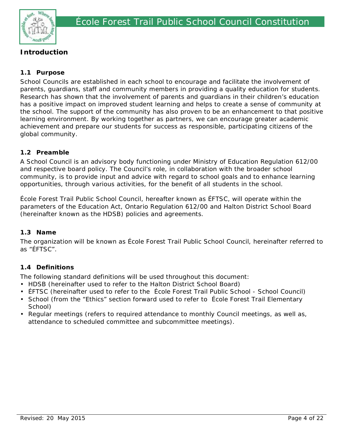

# **Introduction**

## **1.1 Purpose**

School Councils are established in each school to encourage and facilitate the involvement of parents, guardians, staff and community members in providing a quality education for students. Research has shown that the involvement of parents and guardians in their children's education has a positive impact on improved student learning and helps to create a sense of community at the school. The support of the community has also proven to be an enhancement to that positive learning environment. By working together as partners, we can encourage greater academic achievement and prepare our students for success as responsible, participating citizens of the global community.

## **1.2 Preamble**

A School Council is an advisory body functioning under Ministry of Education Regulation 612/00 and respective board policy. The Council's role, in collaboration with the broader school community, is to provide input and advice with regard to school goals and to enhance learning opportunities, through various activities, for the benefit of all students in the school.

École Forest Trail Public School Council, hereafter known as ÉFTSC, will operate within the parameters of the Education Act, Ontario Regulation 612/00 and Halton District School Board (hereinafter known as the HDSB) policies and agreements.

## **1.3 Name**

The organization will be known as École Forest Trail Public School Council, hereinafter referred to as "ÉFTSC".

## **1.4 Definitions**

The following standard definitions will be used throughout this document:

- HDSB (hereinafter used to refer to the Halton District School Board)
- ÉFTSC (hereinafter used to refer to the École Forest Trail Public School School Council)
- School (from the "Ethics" section forward used to refer to École Forest Trail Elementary School)
- Regular meetings (refers to required attendance to monthly Council meetings, as well as, attendance to scheduled committee and subcommittee meetings).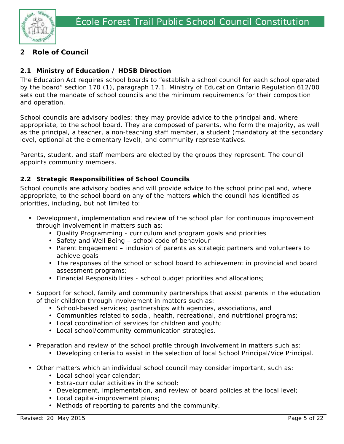

# **2 Role of Council**

## **2.1 Ministry of Education / HDSB Direction**

The Education Act requires school boards to "establish a school council for each school operated by the board" section 170 (1), paragraph 17.1. Ministry of Education Ontario Regulation 612/00 sets out the mandate of school councils and the minimum requirements for their composition and operation.

School councils are advisory bodies; they may provide advice to the principal and, where appropriate, to the school board. They are composed of parents, who form the majority, as well as the principal, a teacher, a non-teaching staff member, a student (mandatory at the secondary level, optional at the elementary level), and community representatives.

Parents, student, and staff members are elected by the groups they represent. The council appoints community members.

## **2.2 Strategic Responsibilities of School Councils**

School councils are advisory bodies and will provide advice to the school principal and, where appropriate, to the school board on any of the matters which the council has identified as priorities, including, but not limited to:

- Development, implementation and review of the school plan for continuous improvement through involvement in matters such as:
	- Quality Programming curriculum and program goals and priorities
	- Safety and Well Being school code of behaviour
	- Parent Engagement inclusion of parents as strategic partners and volunteers to achieve goals
	- The responses of the school or school board to achievement in provincial and board assessment programs;
	- Financial Responsibilities school budget priorities and allocations;
- Support for school, family and community partnerships that assist parents in the education of their children through involvement in matters such as:
	- School-based services; partnerships with agencies, associations, and
	- Communities related to social, health, recreational, and nutritional programs;
	- Local coordination of services for children and youth;
	- Local school/community communication strategies.
- Preparation and review of the school profile through involvement in matters such as:
	- Developing criteria to assist in the selection of local School Principal/Vice Principal.
- Other matters which an individual school council may consider important, such as:
	- Local school year calendar;
	- Extra-curricular activities in the school;
	- Development, implementation, and review of board policies at the local level;
	- Local capital-improvement plans;
	- Methods of reporting to parents and the community.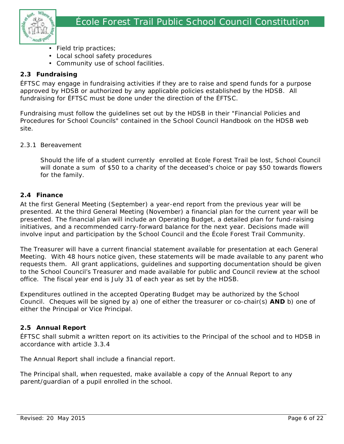

- Field trip practices;
- Local school safety procedures
- Community use of school facilities.

#### **2.3 Fundraising**

ÉFTSC may engage in fundraising activities if they are to raise and spend funds for a purpose approved by HDSB or authorized by any applicable policies established by the HDSB. All fundraising for ÉFTSC must be done under the direction of the ÉFTSC.

Fundraising must follow the guidelines set out by the HDSB in their "Financial Policies and Procedures for School Councils" contained in the School Council Handbook on the HDSB web site.

#### 2.3.1 Bereavement

Should the life of a student currently enrolled at Ecole Forest Trail be lost, School Council will donate a sum of \$50 to a charity of the deceased's choice or pay \$50 towards flowers for the family.

#### **2.4 Finance**

At the first General Meeting (September) a year-end report from the previous year will be presented. At the third General Meeting (November) a financial plan for the current year will be presented. The financial plan will include an Operating Budget, a detailed plan for fund-raising initiatives, and a recommended carry-forward balance for the next year. Decisions made will involve input and participation by the School Council and the École Forest Trail Community.

The Treasurer will have a current financial statement available for presentation at each General Meeting. With 48 hours notice given, these statements will be made available to any parent who requests them. All grant applications, guidelines and supporting documentation should be given to the School Council's Treasurer and made available for public and Council review at the school office. The fiscal year end is July 31 of each year as set by the HDSB.

Expenditures outlined in the accepted Operating Budget may be authorized by the School Council. Cheques will be signed by a) one of either the treasurer or co-chair(s) **AND** b) one of either the Principal or Vice Principal.

#### **2.5 Annual Report**

ÉFTSC shall submit a written report on its activities to the Principal of the school and to HDSB in accordance with article 3.3.4

The Annual Report shall include a financial report.

The Principal shall, when requested, make available a copy of the Annual Report to any parent/guardian of a pupil enrolled in the school.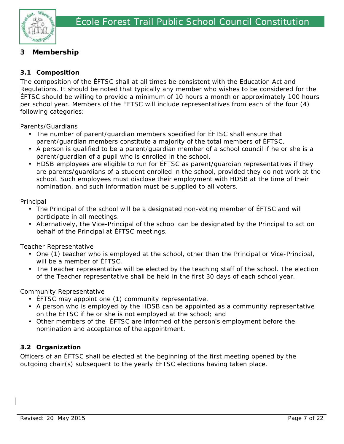

# **3 Membership**

# **3.1 Composition**

The composition of the ÉFTSC shall at all times be consistent with the Education Act and Regulations. It should be noted that typically any member who wishes to be considered for the ÉFTSC should be willing to provide a minimum of 10 hours a month or approximately 100 hours per school year. Members of the ÉFTSC will include representatives from each of the four (4) following categories:

Parents/Guardians

- The number of parent/guardian members specified for ÉFTSC shall ensure that parent/guardian members constitute a majority of the total members of ÉFTSC.
- A person is qualified to be a parent/guardian member of a school council if he or she is a parent/guardian of a pupil who is enrolled in the school.
- HDSB employees are eligible to run for ÉFTSC as parent/guardian representatives if they are parents/guardians of a student enrolled in the school, provided they do not work at the school. Such employees must disclose their employment with HDSB at the time of their nomination, and such information must be supplied to all voters.

Principal

- The Principal of the school will be a designated non-voting member of ÉFTSC and will participate in all meetings.
- Alternatively, the Vice-Principal of the school can be designated by the Principal to act on behalf of the Principal at ÉFTSC meetings.

Teacher Representative

- One (1) teacher who is employed at the school, other than the Principal or Vice-Principal, will be a member of ÉFTSC.
- The Teacher representative will be elected by the teaching staff of the school. The election of the Teacher representative shall be held in the first 30 days of each school year.

Community Representative

- ÉFTSC may appoint one (1) community representative.
- A person who is employed by the HDSB can be appointed as a community representative on the ÉFTSC if he or she is not employed at the school; and
- Other members of the ÉFTSC are informed of the person's employment before the nomination and acceptance of the appointment.

# **3.2 Organization**

Officers of an ÉFTSC shall be elected at the beginning of the first meeting opened by the outgoing chair(s) subsequent to the yearly ÉFTSC elections having taken place.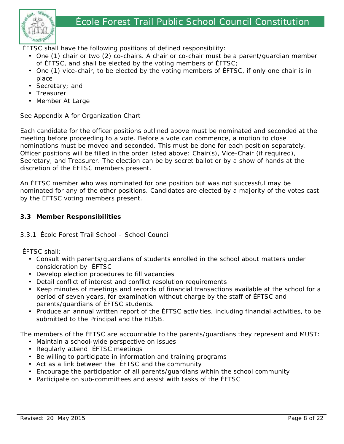

ÉFTSC shall have the following positions of defined responsibility:

- One (1) chair or two (2) co-chairs. A chair or co-chair must be a parent/guardian member of ÉFTSC, and shall be elected by the voting members of ÉFTSC;
- One (1) vice-chair, to be elected by the voting members of ÉFTSC, if only one chair is in place
- Secretary; and
- Treasurer
- Member At Large

See Appendix A for Organization Chart

Each candidate for the officer positions outlined above must be nominated and seconded at the meeting before proceeding to a vote. Before a vote can commence, a motion to close nominations must be moved and seconded. This must be done for each position separately. Officer positions will be filled in the order listed above: Chair(s), Vice-Chair (if required), Secretary, and Treasurer. The election can be by secret ballot or by a show of hands at the discretion of the ÉFTSC members present.

An ÉFTSC member who was nominated for one position but was not successful may be nominated for any of the other positions. Candidates are elected by a majority of the votes cast by the ÉFTSC voting members present.

#### **3.3 Member Responsibilities**

#### 3.3.1 École Forest Trail School – School Council

ÉFTSC shall:

- Consult with parents/guardians of students enrolled in the school about matters under consideration by ÉFTSC
- Develop election procedures to fill vacancies
- Detail conflict of interest and conflict resolution requirements
- Keep minutes of meetings and records of financial transactions available at the school for a period of seven years, for examination without charge by the staff of ÉFTSC and parents/guardians of ÉFTSC students.
- Produce an annual written report of the ÉFTSC activities, including financial activities, to be submitted to the Principal and the HDSB.

The members of the ÉFTSC are accountable to the parents/guardians they represent and MUST:

- Maintain a school-wide perspective on issues
- Regularly attend ÉFTSC meetings
- Be willing to participate in information and training programs
- Act as a link between the ÉFTSC and the community
- Encourage the participation of all parents/guardians within the school community
- Participate on sub-committees and assist with tasks of the ÉFTSC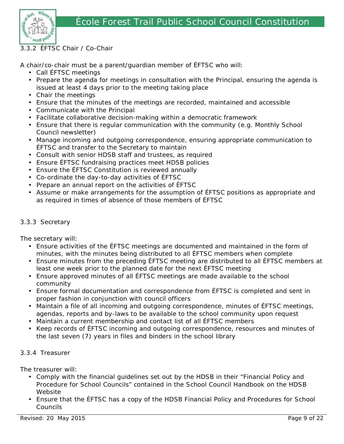



#### 3.3.2 ÉFTSC Chair / Co-Chair

A chair/co-chair must be a parent/guardian member of ÉFTSC who will:

- Call ÉFTSC meetings
- Prepare the agenda for meetings in consultation with the Principal, ensuring the agenda is issued at least 4 days prior to the meeting taking place
- Chair the meetings
- Ensure that the minutes of the meetings are recorded, maintained and accessible
- Communicate with the Principal
- Facilitate collaborative decision-making within a democratic framework
- Ensure that there is regular communication with the community (e.g. Monthly School Council newsletter)
- Manage incoming and outgoing correspondence, ensuring appropriate communication to ÉFTSC and transfer to the Secretary to maintain
- Consult with senior HDSB staff and trustees, as required
- Ensure ÉFTSC fundraising practices meet HDSB policies
- Ensure the ÉFTSC Constitution is reviewed annually
- Co-ordinate the day-to-day activities of ÉFTSC
- Prepare an annual report on the activities of ÉFTSC
- Assume or make arrangements for the assumption of ÉFTSC positions as appropriate and as required in times of absence of those members of ÉFTSC

#### 3.3.3 Secretary

The secretary will:

- Ensure activities of the ÉFTSC meetings are documented and maintained in the form of minutes, with the minutes being distributed to all ÉFTSC members when complete
- Ensure minutes from the preceding ÉFTSC meeting are distributed to all ÉFTSC members at least one week prior to the planned date for the next ÉFTSC meeting
- Ensure approved minutes of all ÉFTSC meetings are made available to the school community
- Ensure formal documentation and correspondence from ÉFTSC is completed and sent in proper fashion in conjunction with council officers
- Maintain a file of all incoming and outgoing correspondence, minutes of ÉFTSC meetings, agendas, reports and by-laws to be available to the school community upon request
- Maintain a current membership and contact list of all ÉFTSC members
- Keep records of ÉFTSC incoming and outgoing correspondence, resources and minutes of the last seven (7) years in files and binders in the school library

#### 3.3.4 Treasurer

The treasurer will:

- Comply with the financial guidelines set out by the HDSB in their "Financial Policy and Procedure for School Councils" contained in the School Council Handbook on the HDSB Website
- Ensure that the ÉFTSC has a copy of the HDSB Financial Policy and Procedures for School Councils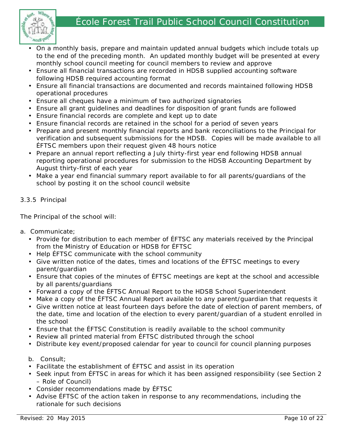# École Forest Trail Public School Council Constitution



- On a monthly basis, prepare and maintain updated annual budgets which include totals up to the end of the preceding month. An updated monthly budget will be presented at every monthly school council meeting for council members to review and approve
- Ensure all financial transactions are recorded in HDSB supplied accounting software following HDSB required accounting format
- Ensure all financial transactions are documented and records maintained following HDSB operational procedures
- Ensure all cheques have a minimum of two authorized signatories
- Ensure all grant guidelines and deadlines for disposition of grant funds are followed
- Ensure financial records are complete and kept up to date
- Ensure financial records are retained in the school for a period of seven years
- Prepare and present monthly financial reports and bank reconciliations to the Principal for verification and subsequent submissions for the HDSB. Copies will be made available to all ÉFTSC members upon their request given 48 hours notice
- Prepare an annual report reflecting a July thirty-first year end following HDSB annual reporting operational procedures for submission to the HDSB Accounting Department by August thirty-first of each year
- Make a year end financial summary report available to for all parents/guardians of the school by posting it on the school council website

## 3.3.5 Principal

The Principal of the school will:

- a. Communicate;
	- Provide for distribution to each member of ÉFTSC any materials received by the Principal from the Ministry of Education or HDSB for ÉFTSC
	- Help ÉFTSC communicate with the school community
	- Give written notice of the dates, times and locations of the ÉFTSC meetings to every parent/guardian
	- Ensure that copies of the minutes of ÉFTSC meetings are kept at the school and accessible by all parents/guardians
	- Forward a copy of the ÉFTSC Annual Report to the HDSB School Superintendent
	- Make a copy of the ÉFTSC Annual Report available to any parent/guardian that requests it
	- Give written notice at least fourteen days before the date of election of parent members, of the date, time and location of the election to every parent/guardian of a student enrolled in the school
	- Ensure that the ÉFTSC Constitution is readily available to the school community
	- Review all printed material from ÉFTSC distributed through the school
	- Distribute key event/proposed calendar for year to council for council planning purposes

#### b. Consult;

- Facilitate the establishment of ÉFTSC and assist in its operation
- Seek input from ÉFTSC in areas for which it has been assigned responsibility (see Section 2 – Role of Council)
- Consider recommendations made by ÉFTSC
- Advise ÉFTSC of the action taken in response to any recommendations, including the rationale for such decisions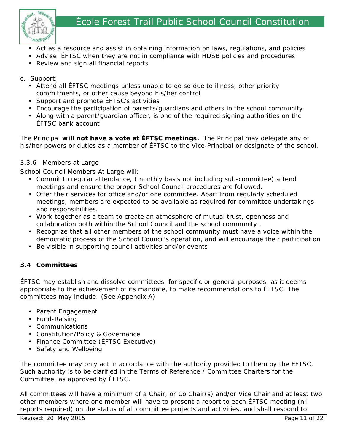

- Act as a resource and assist in obtaining information on laws, regulations, and policies
- Advise ÉFTSC when they are not in compliance with HDSB policies and procedures
- Review and sign all financial reports

## c. Support;

- Attend all ÉFTSC meetings unless unable to do so due to illness, other priority commitments, or other cause beyond his/her control
- Support and promote ÉFTSC's activities
- Encourage the participation of parents/guardians and others in the school community
- Along with a parent/guardian officer, is one of the required signing authorities on the ÉFTSC bank account

The Principal **will not have a vote at ÉFTSC meetings.** The Principal may delegate any of his/her powers or duties as a member of ÉFTSC to the Vice-Principal or designate of the school.

## 3.3.6 Members at Large

School Council Members At Large will:

- Commit to regular attendance, (monthly basis not including sub-committee) attend meetings and ensure the proper School Council procedures are followed.
- Offer their services for office and/or one committee. Apart from regularly scheduled meetings, members are expected to be available as required for committee undertakings and responsibilities.
- Work together as a team to create an atmosphere of mutual trust, openness and collaboration both within the School Council and the school community .
- Recognize that all other members of the school community must have a voice within the democratic process of the School Council's operation, and will encourage their participation
- Be visible in supporting council activities and/or events

# **3.4 Committees**

ÉFTSC may establish and dissolve committees, for specific or general purposes, as it deems appropriate to the achievement of its mandate, to make recommendations to ÉFTSC. The committees may include: (See Appendix A)

- Parent Engagement
- Fund-Raising
- Communications
- Constitution/Policy & Governance
- Finance Committee (ÉFTSC Executive)
- Safety and Wellbeing

The committee may only act in accordance with the authority provided to them by the ÉFTSC. Such authority is to be clarified in the Terms of Reference / Committee Charters for the Committee, as approved by ÉFTSC.

All committees will have a minimum of a Chair, or Co Chair(s) and/or Vice Chair and at least two other members where one member will have to present a report to each ÉFTSC meeting (nil reports required) on the status of all committee projects and activities, and shall respond to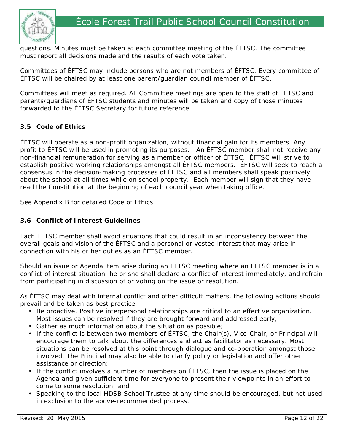



questions. Minutes must be taken at each committee meeting of the ÉFTSC. The committee must report all decisions made and the results of each vote taken.

Committees of ÉFTSC may include persons who are not members of ÉFTSC. Every committee of ÉFTSC will be chaired by at least one parent/guardian council member of ÉFTSC.

Committees will meet as required. All Committee meetings are open to the staff of ÉFTSC and parents/guardians of ÉFTSC students and minutes will be taken and copy of those minutes forwarded to the ÉFTSC Secretary for future reference.

#### **3.5 Code of Ethics**

ÉFTSC will operate as a non-profit organization, without financial gain for its members. Any profit to ÉFTSC will be used in promoting its purposes. An ÉFTSC member shall not receive any non-financial remuneration for serving as a member or officer of ÉFTSC. ÉFTSC will strive to establish positive working relationships amongst all ÉFTSC members. ÉFTSC will seek to reach a consensus in the decision-making processes of ÉFTSC and all members shall speak positively about the school at all times while on school property. Each member will sign that they have read the Constitution at the beginning of each council year when taking office.

See Appendix B for detailed Code of Ethics

#### **3.6 Conflict of Interest Guidelines**

Each ÉFTSC member shall avoid situations that could result in an inconsistency between the overall goals and vision of the ÉFTSC and a personal or vested interest that may arise in connection with his or her duties as an ÉFTSC member.

Should an issue or Agenda item arise during an ÉFTSC meeting where an ÉFTSC member is in a conflict of interest situation, he or she shall declare a conflict of interest immediately, and refrain from participating in discussion of or voting on the issue or resolution.

As ÉFTSC may deal with internal conflict and other difficult matters, the following actions should prevail and be taken as best practice:

- Be proactive. Positive interpersonal relationships are critical to an effective organization. Most issues can be resolved if they are brought forward and addressed early;
- Gather as much information about the situation as possible;
- If the conflict is between two members of ÉFTSC, the Chair(s), Vice-Chair, or Principal will encourage them to talk about the differences and act as facilitator as necessary. Most situations can be resolved at this point through dialogue and co-operation amongst those involved. The Principal may also be able to clarify policy or legislation and offer other assistance or direction;
- If the conflict involves a number of members on ÉFTSC, then the issue is placed on the Agenda and given sufficient time for everyone to present their viewpoints in an effort to come to some resolution; and
- Speaking to the local HDSB School Trustee at any time should be encouraged, but not used in exclusion to the above-recommended process.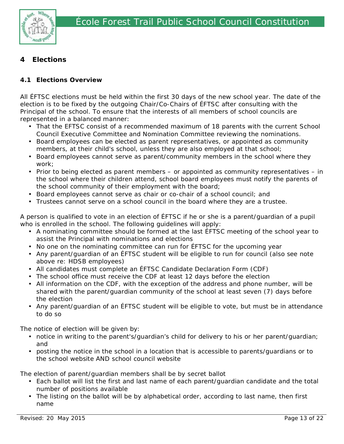

# **4 Elections**

## **4.1 Elections Overview**

All ÉFTSC elections must be held within the first 30 days of the new school year. The date of the election is to be fixed by the outgoing Chair/Co-Chairs of ÉFTSC after consulting with the Principal of the school. To ensure that the interests of all members of school councils are represented in a balanced manner:

- That the EFTSC consist of a recommended maximum of 18 parents with the current School Council Executive Committee and Nomination Committee reviewing the nominations.
- Board employees can be elected as parent representatives, or appointed as community members, at their child's school, unless they are also employed at that school;
- Board employees cannot serve as parent/community members in the school where they work;
- Prior to being elected as parent members or appointed as community representatives in the school where their children attend, school board employees must notify the parents of the school community of their employment with the board;
- Board employees cannot serve as chair or co-chair of a school council; and
- Trustees cannot serve on a school council in the board where they are a trustee.

A person is qualified to vote in an election of ÉFTSC if he or she is a parent/guardian of a pupil who is enrolled in the school. The following guidelines will apply:

- A nominating committee should be formed at the last ÉFTSC meeting of the school year to assist the Principal with nominations and elections
- No one on the nominating committee can run for ÉFTSC for the upcoming year
- Any parent/guardian of an ÉFTSC student will be eligible to run for council (also see note above re: HDSB employees)
- All candidates must complete an ÉFTSC Candidate Declaration Form (CDF)
- The school office must receive the CDF at least 12 days before the election
- All information on the CDF, with the exception of the address and phone number, will be shared with the parent/guardian community of the school at least seven (7) days before the election
- Any parent/guardian of an ÉFTSC student will be eligible to vote, but must be in attendance to do so

The notice of election will be given by:

- notice in writing to the parent's/guardian's child for delivery to his or her parent/guardian; and
- posting the notice in the school in a location that is accessible to parents/guardians or to the school website AND school council website

The election of parent/guardian members shall be by secret ballot

- Each ballot will list the first and last name of each parent/guardian candidate and the total number of positions available
- The listing on the ballot will be by alphabetical order, according to last name, then first name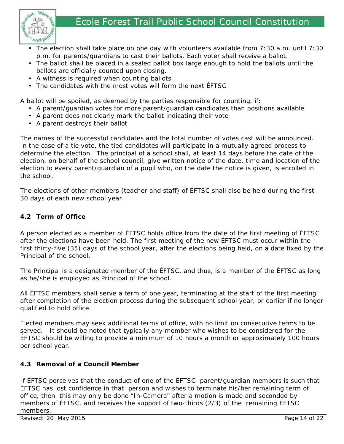# École Forest Trail Public School Council Constitution



- The election shall take place on one day with volunteers available from 7:30 a.m. until 7:30 p.m. for parents/guardians to cast their ballots. Each voter shall receive a ballot.
- The ballot shall be placed in a sealed ballot box large enough to hold the ballots until the ballots are officially counted upon closing.
- A witness is required when counting ballots
- The candidates with the most votes will form the next ÉFTSC

A ballot will be spoiled, as deemed by the parties responsible for counting, if:

- A parent/guardian votes for more parent/guardian candidates than positions available
- A parent does not clearly mark the ballot indicating their vote
- A parent destroys their ballot

The names of the successful candidates and the total number of votes cast will be announced. In the case of a tie vote, the tied candidates will participate in a mutually agreed process to determine the election. The principal of a school shall, at least 14 days before the date of the election, on behalf of the school council, give written notice of the date, time and location of the election to every parent/guardian of a pupil who, on the date the notice is given, is enrolled in the school.

The elections of other members (teacher and staff) of ÉFTSC shall also be held during the first 30 days of each new school year.

#### **4.2 Term of Office**

A person elected as a member of ÉFTSC holds office from the date of the first meeting of ÉFTSC after the elections have been held. The first meeting of the new ÉFTSC must occur within the first thirty-five (35) days of the school year, after the elections being held, on a date fixed by the Principal of the school.

The Principal is a designated member of the ÉFTSC, and thus, is a member of the ÉFTSC as long as he/she is employed as Principal of the school.

All ÉFTSC members shall serve a term of one year, terminating at the start of the first meeting after completion of the election process during the subsequent school year, or earlier if no longer qualified to hold office.

Elected members may seek additional terms of office, with no limit on consecutive terms to be served. It should be noted that typically any member who wishes to be considered for the ÉFTSC should be willing to provide a minimum of 10 hours a month or approximately 100 hours per school year.

## **4.3 Removal of a Council Member**

If ÉFTSC perceives that the conduct of one of the ÉFTSC parent/guardian members is such that ÉFTSC has lost confidence in that person and wishes to terminate his/her remaining term of office, then this may only be done "In-Camera" after a motion is made and seconded by members of ÉFTSC, and receives the support of two-thirds (2/3) of the remaining ÉFTSC members.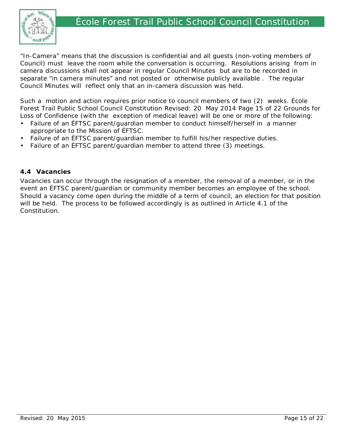

"In-Camera" means that the discussion is confidential and all guests (non-voting members of Council) must leave the room while the conversation is occurring. Resolutions arising from in camera discussions shall not appear in regular Council Minutes but are to be recorded in separate "in camera minutes" and not posted or otherwise publicly available . The regular Council Minutes will reflect only that an in-camera discussion was held.

Such a motion and action requires prior notice to council members of two (2) weeks. École Forest Trail Public School Council Constitution Revised: 20 May 2014 Page 15 of 22 Grounds for Loss of Confidence (with the exception of medical leave) will be one or more of the following:

- Failure of an EFTSC parent/guardian member to conduct himself/herself in a manner appropriate to the Mission of ÉFTSC.
- Failure of an ÉFTSC parent/guardian member to fulfill his/her respective duties.
- Failure of an ÉFTSC parent/guardian member to attend three (3) meetings.

#### **4.4 Vacancies**

Vacancies can occur through the resignation of a member, the removal of a member, or in the event an ÉFTSC parent/guardian or community member becomes an employee of the school. Should a vacancy come open during the middle of a term of council, an election for that position will be held. The process to be followed accordingly is as outlined in Article 4.1 of the Constitution.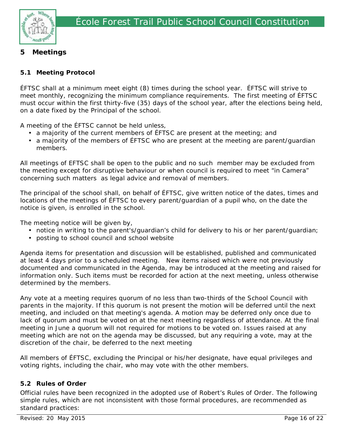

# **5 Meetings**

## **5.1 Meeting Protocol**

ÉFTSC shall at a minimum meet eight (8) times during the school year. ÉFTSC will strive to meet monthly, recognizing the minimum compliance requirements. The first meeting of ÉFTSC must occur within the first thirty-five (35) days of the school year, after the elections being held, on a date fixed by the Principal of the school.

A meeting of the ÉFTSC cannot be held unless,

- a majority of the current members of ÉFTSC are present at the meeting; and
- a majority of the members of ÉFTSC who are present at the meeting are parent/guardian members.

All meetings of EFTSC shall be open to the public and no such member may be excluded from the meeting except for disruptive behaviour or when council is required to meet "in Camera" concerning such matters as legal advice and removal of members.

The principal of the school shall, on behalf of ÉFTSC, give written notice of the dates, times and locations of the meetings of ÉFTSC to every parent/guardian of a pupil who, on the date the notice is given, is enrolled in the school.

The meeting notice will be given by,

- notice in writing to the parent's/guardian's child for delivery to his or her parent/guardian;
- posting to school council and school website

Agenda items for presentation and discussion will be established, published and communicated at least 4 days prior to a scheduled meeting. New items raised which were not previously documented and communicated in the Agenda, may be introduced at the meeting and raised for information only. Such items must be recorded for action at the next meeting, unless otherwise determined by the members.

Any vote at a meeting requires quorum of no less than two-thirds of the School Council with parents in the majority. If this quorum is not present the motion will be deferred until the next meeting, and included on that meeting's agenda. A motion may be deferred only once due to lack of quorum and must be voted on at the next meeting regardless of attendance. At the final meeting in June a quorum will not required for motions to be voted on. Issues raised at any meeting which are not on the agenda may be discussed, but any requiring a vote, may at the discretion of the chair, be deferred to the next meeting

All members of ÉFTSC, excluding the Principal or his/her designate, have equal privileges and voting rights, including the chair, who may vote with the other members.

## **5.2 Rules of Order**

Official rules have been recognized in the adopted use of Robert's Rules of Order. The following simple rules, which are not inconsistent with those formal procedures, are recommended as standard practices: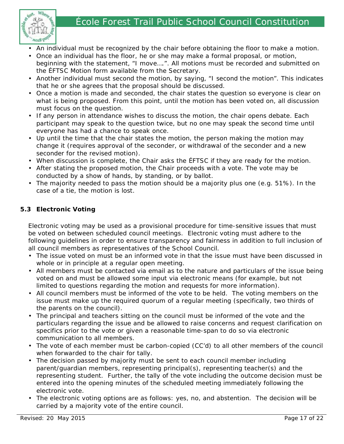# École Forest Trail Public School Council Constitution



- An individual must be recognized by the chair before obtaining the floor to make a motion.
- Once an individual has the floor, he or she may make a formal proposal, or motion, beginning with the statement, "I move….". All motions must be recorded and submitted on the ÉFTSC Motion form available from the Secretary.
- Another individual must second the motion, by saying, "I second the motion". This indicates that he or she agrees that the proposal should be discussed.
- Once a motion is made and seconded, the chair states the question so everyone is clear on what is being proposed. From this point, until the motion has been voted on, all discussion must focus on the question.
- If any person in attendance wishes to discuss the motion, the chair opens debate. Each participant may speak to the question twice, but no one may speak the second time until everyone has had a chance to speak once.
- Up until the time that the chair states the motion, the person making the motion may change it (requires approval of the seconder, or withdrawal of the seconder and a new seconder for the revised motion).
- When discussion is complete, the Chair asks the ÉFTSC if they are ready for the motion.
- After stating the proposed motion, the Chair proceeds with a vote. The vote may be conducted by a show of hands, by standing, or by ballot.
- The majority needed to pass the motion should be a majority plus one (e.g. 51%). In the case of a tie, the motion is lost.

# **5.3 Electronic Voting**

Electronic voting may be used as a provisional procedure for time-sensitive issues that must be voted on between scheduled council meetings. Electronic voting must adhere to the following guidelines in order to ensure transparency and fairness in addition to full inclusion of all council members as representatives of the School Council.

- The issue voted on must be an informed vote in that the issue must have been discussed in whole or in principle at a regular open meeting.
- All members must be contacted via email as to the nature and particulars of the issue being voted on and must be allowed some input via electronic means (for example, but not limited to questions regarding the motion and requests for more information).
- All council members must be informed of the vote to be held. The voting members on the issue must make up the required quorum of a regular meeting (specifically, two thirds of the parents on the council).
- The principal and teachers sitting on the council must be informed of the vote and the particulars regarding the issue and be allowed to raise concerns and request clarification on specifics prior to the vote or given a reasonable time-span to do so via electronic communication to all members.
- The vote of each member must be carbon-copied (CC'd) to all other members of the council when forwarded to the chair for tally.
- The decision passed by majority must be sent to each council member including parent/guardian members, representing principal(s), representing teacher(s) and the representing student. Further, the tally of the vote including the outcome decision must be entered into the opening minutes of the scheduled meeting immediately following the electronic vote.
- The electronic voting options are as follows: yes, no, and abstention. The decision will be carried by a majority vote of the entire council.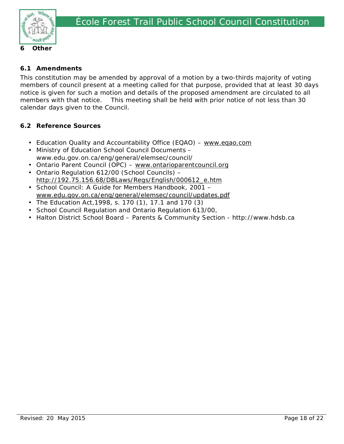

#### **6.1 Amendments**

This constitution may be amended by approval of a motion by a two-thirds majority of voting members of council present at a meeting called for that purpose, provided that at least 30 days notice is given for such a motion and details of the proposed amendment are circulated to all members with that notice. This meeting shall be held with prior notice of not less than 30 calendar days given to the Council.

#### **6.2 Reference Sources**

- Education Quality and Accountability Office (EQAO) www.eqao.com
- Ministry of Education School Council Documents www.edu.gov.on.ca/eng/general/elemsec/council/
- Ontario Parent Council (OPC) www.ontarioparentcouncil.org
- Ontario Regulation 612/00 (School Councils) http://192.75.156.68/DBLaws/Regs/English/000612\_e.htm
- School Council: A Guide for Members Handbook, 2001 www.edu.gov.on.ca/eng/general/elemsec/council/updates.pdf
- The Education Act,1998, s. 170 (1), 17.1 and 170 (3)
- School Council Regulation and Ontario Regulation 613/00,
- Halton District School Board Parents & Community Section http://www.hdsb.ca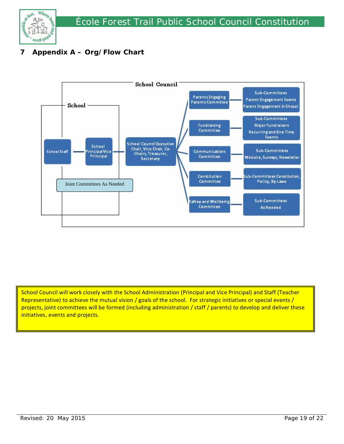

# **7 Appendix A – Org/Flow Chart**



School Council will work closely with the School Administration (Principal and Vice Principal) and Staff (Teacher Representative) to achieve the mutual vision / goals of the school. For strategic initiatives or special events / projects, joint committees will be formed (including administration / staff / parents) to develop and deliver these initiatives, events and projects.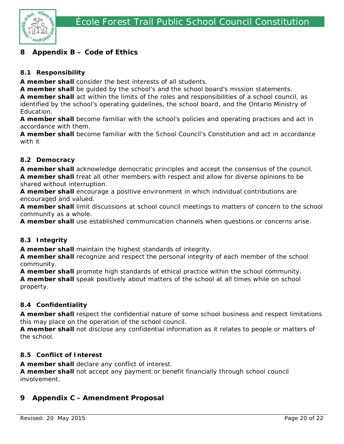

# **8 Appendix B – Code of Ethics**

## **8.1 Responsibility**

**A member shall** consider the best interests of all students.

**A member shall** be guided by the school's and the school board's mission statements.

**A member shall** act within the limits of the roles and responsibilities of a school council, as identified by the school's operating guidelines, the school board, and the Ontario Ministry of Education.

**A member shall** become familiar with the school's policies and operating practices and act in accordance with them.

**A member shall** become familiar with the School Council's Constitution and act in accordance with it

#### **8.2 Democracy**

**A member shall** acknowledge democratic principles and accept the consensus of the council. **A member shall** treat all other members with respect and allow for diverse opinions to be shared without interruption.

**A member shall** encourage a positive environment in which individual contributions are encouraged and valued.

**A member shall** limit discussions at school council meetings to matters of concern to the school community as a whole.

**A member shall** use established communication channels when questions or concerns arise.

## **8.3 Integrity**

**A member shall** maintain the highest standards of integrity.

**A member shall** recognize and respect the personal integrity of each member of the school community.

**A member shall** promote high standards of ethical practice within the school community. **A member shall** speak positively about matters of the school at all times while on school property.

## **8.4 Confidentiality**

**A member shall** respect the confidential nature of some school business and respect limitations this may place on the operation of the school council.

**A member shall** not disclose any confidential information as it relates to people or matters of the school.

#### **8.5 Conflict of Interest**

**A member shall** declare any conflict of interest.

**A member shall** not accept any payment or benefit financially through school council involvement.

# **9 Appendix C - Amendment Proposal**